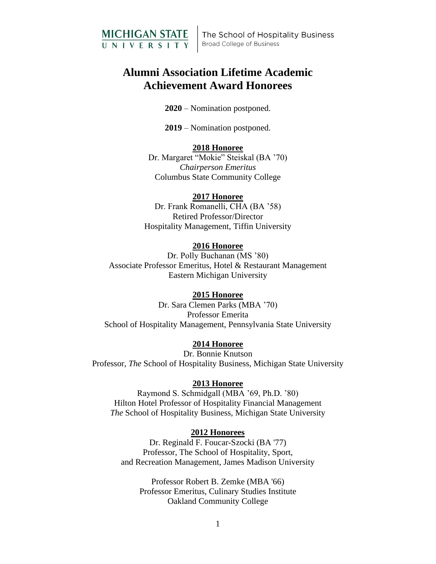

The School of Hospitality Business **Broad College of Business** 

# **Alumni Association Lifetime Academic Achievement Award Honorees**

**2020** – Nomination postponed.

**2019** – Nomination postponed.

## **2018 Honoree**

Dr. Margaret "Mokie" Steiskal (BA '70) *Chairperson Emeritus* Columbus State Community College

## **2017 Honoree**

Dr. Frank Romanelli, CHA (BA '58) Retired Professor/Director Hospitality Management, Tiffin University

# **2016 Honoree**

Dr. Polly Buchanan (MS '80) Associate Professor Emeritus, Hotel & Restaurant Management Eastern Michigan University

### **2015 Honoree**

Dr. Sara Clemen Parks (MBA '70) Professor Emerita School of Hospitality Management, Pennsylvania State University

# **2014 Honoree**

Dr. Bonnie Knutson Professor, *The* School of Hospitality Business, Michigan State University

### **2013 Honoree**

Raymond S. Schmidgall (MBA '69, Ph.D. '80) Hilton Hotel Professor of Hospitality Financial Management *The* School of Hospitality Business, Michigan State University

### **2012 Honorees**

Dr. Reginald F. Foucar-Szocki (BA '77) Professor, The School of Hospitality, Sport, and Recreation Management, James Madison University

Professor Robert B. Zemke (MBA '66) Professor Emeritus, Culinary Studies Institute Oakland Community College